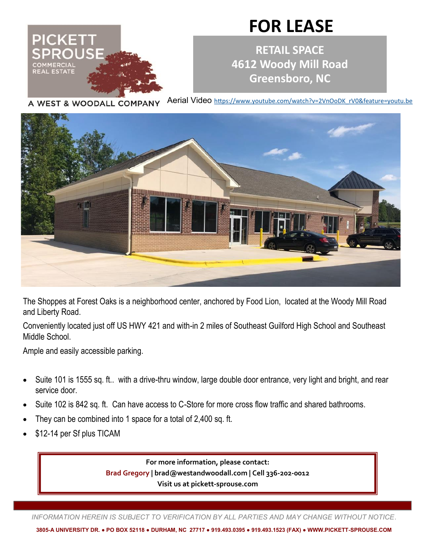## **FOR LEASE**

**RETAIL SPACE 4612 Woody Mill Road Greensboro, NC**

Aerial Video [https://www.youtube.com/watch?v=2VnOoDK\\_rV0&feature=youtu.be](https://www.youtube.com/watch?v=2VnOoDK_rV0&feature=youtu.be) A WEST & WOODALL COMPANY



The Shoppes at Forest Oaks is a neighborhood center, anchored by Food Lion, located at the Woody Mill Road and Liberty Road.

Conveniently located just off US HWY 421 and with-in 2 miles of Southeast Guilford High School and Southeast Middle School.

Ample and easily accessible parking.

PICKETT

- Suite 101 is 1555 sq. ft.. with a drive-thru window, large double door entrance, very light and bright, and rear service door.
- Suite 102 is 842 sq. ft. Can have access to C-Store for more cross flow traffic and shared bathrooms.
- They can be combined into 1 space for a total of 2,400 sq. ft.
- \$12-14 per Sf plus TICAM

**For more information, please contact: Brad Gregory | brad@westandwoodall.com | Cell 336-202-0012 Visit us at pickett-sprouse.com**

*INFORMATION HEREIN IS SUBJECT TO VERIFICATION BY ALL PARTIES AND MAY CHANGE WITHOUT NOTICE*.

**3805-A UNIVERSITY DR. ● PO BOX 52118 ● DURHAM, NC 27717 ● 919.493.0395 ● 919.493.1523 (FAX) ● WWW.PICKETT-SPROUSE.COM**